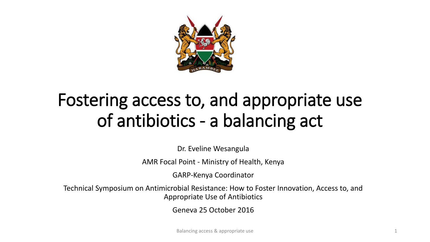

## Fostering access to, and appropriate use of antibiotics - a balancing act

Dr. Eveline Wesangula

AMR Focal Point - Ministry of Health, Kenya

GARP-Kenya Coordinator

Technical Symposium on Antimicrobial Resistance: How to Foster Innovation, Access to, and Appropriate Use of Antibiotics

Geneva 25 October 2016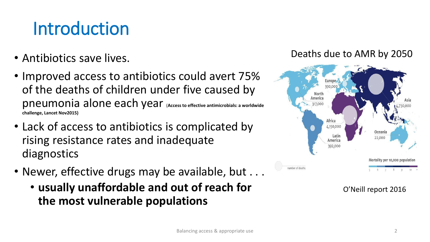## Introduction

- Antibiotics save lives.
- Improved access to antibiotics could avert 75% of the deaths of children under five caused by pneumonia alone each year (**Access to effective antimicrobials: a worldwide challenge, Lancet Nov2015)**
- Lack of access to antibiotics is complicated by rising resistance rates and inadequate diagnostics
- Newer, effective drugs may be available, but . . .
	- **usually unaffordable and out of reach for the most vulnerable populations**

#### Deaths due to AMR by 2050



O'Neill report 2016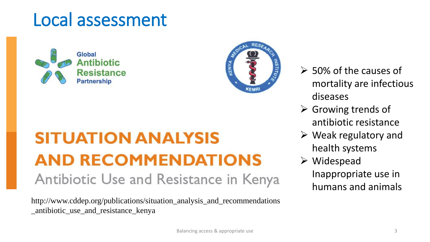### Local assessment

Global Antibiotic **Resistance Partnership** 

## **SITUATION ANALYSIS AND RECOMMENDATIONS** Antibiotic Use and Resistance in Kenya

http://www.cddep.org/publications/situation\_analysis\_and\_recommendations \_antibiotic\_use\_and\_resistance\_kenya

- $\geq$  50% of the causes of mortality are infectious diseases
- $\triangleright$  Growing trends of antibiotic resistance
- $\triangleright$  Weak regulatory and health systems
- Widespead Inappropriate use in humans and animals

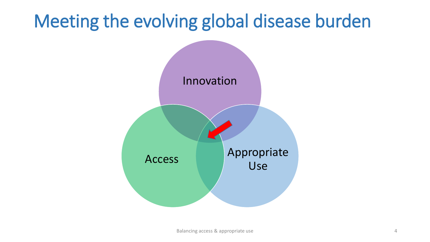## Meeting the evolving global disease burden

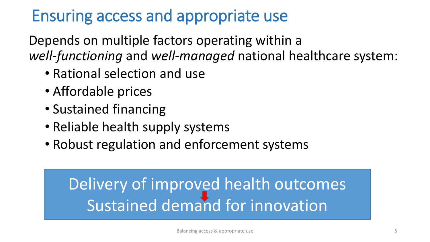#### Ensuring access and appropriate use

Depends on multiple factors operating within a *well-functioning* and *well-managed* national healthcare system:

- Rational selection and use
- Affordable prices
- Sustained financing
- Reliable health supply systems
- Robust regulation and enforcement systems

## Delivery of improved health outcomes Sustained demand for innovation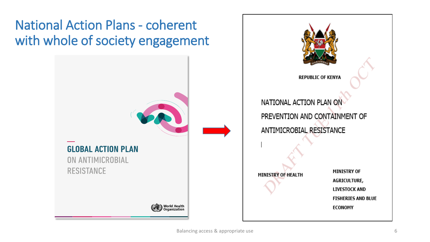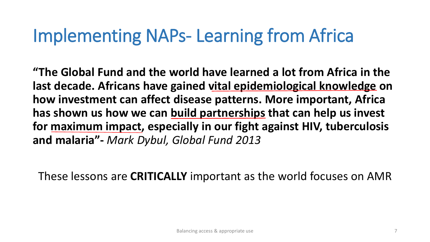## Implementing NAPs- Learning from Africa

**"The Global Fund and the world have learned a lot from Africa in the last decade. Africans have gained vital epidemiological knowledge on how investment can affect disease patterns. More important, Africa has shown us how we can build partnerships that can help us invest for maximum impact, especially in our fight against HIV, tuberculosis and malaria"-** *Mark Dybul, Global Fund 2013*

These lessons are **CRITICALLY** important as the world focuses on AMR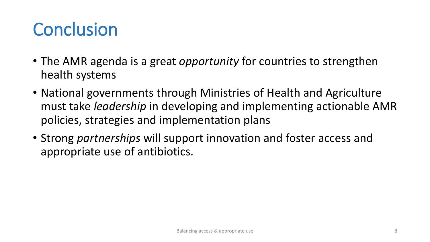## **Conclusion**

- The AMR agenda is a great *opportunity* for countries to strengthen health systems
- National governments through Ministries of Health and Agriculture must take *leadership* in developing and implementing actionable AMR policies, strategies and implementation plans
- Strong *partnerships* will support innovation and foster access and appropriate use of antibiotics.